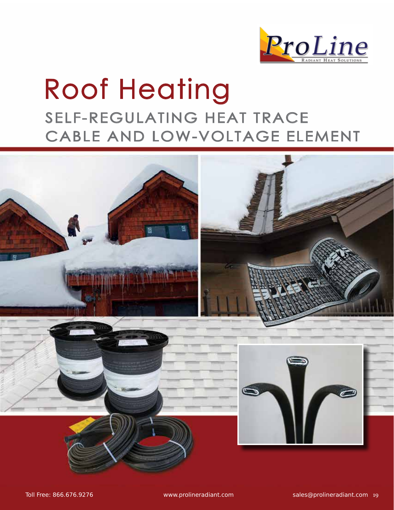

# Roof Heating SELF-REGULATING HEAT TRACE CABLE AND LOW-VOLTAGE ELEMENT

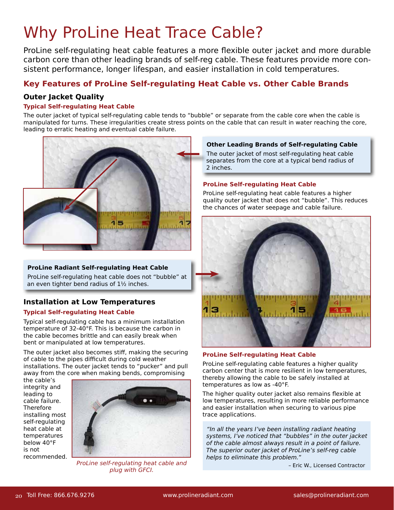### Why ProLine Heat Trace Cable?

ProLine self-regulating heat cable features a more flexible outer jacket and more durable carbon core than other leading brands of self-reg cable. These features provide more consistent performance, longer lifespan, and easier installation in cold temperatures.

### **Key Features of ProLine Self-regulating Heat Cable vs. Other Cable Brands**

#### **Outer Jacket Quality**

#### **Typical Self-regulating Heat Cable**

The outer jacket of typical self-regulating cable tends to "bubble" or separate from the cable core when the cable is manipulated for turns. These irregularities create stress points on the cable that can result in water reaching the core, leading to erratic heating and eventual cable failure.



#### **ProLine Radiant Self-regulating Heat Cable**

ProLine self-regulating heat cable does not "bubble" at an even tighter bend radius of  $1\frac{1}{2}$  inches.

### **Installation at Low Temperatures**

#### **Typical Self-regulating Heat Cable**

Typical self-regulating cable has a minimum installation temperature of 32-40°F. This is because the carbon in the cable becomes brittle and can easily break when bent or manipulated at low temperatures.

The outer jacket also becomes stiff, making the securing of cable to the pipes difficult during cold weather installations. The outer jacket tends to "pucker" and pull away from the core when making bends, compromising

the cable's integrity and leading to cable failure. Therefore installing most self-regulating heat cable at temperatures below 40°F is not recommended.



 – Eric W., Licensed Contractor *ProLine* self-regulating heat cable and plug with GFCI.

#### **Other Leading Brands of Self-regulating Cable**

The outer jacket of most self-regulating heat cable separates from the core at a typical bend radius of 2 inches.

#### **ProLine Self-regulating Heat Cable**

ProLine self-regulating heat cable features a higher quality outer jacket that does not "bubble". This reduces the chances of water seepage and cable failure.



#### **ProLine Self-regulating Heat Cable**

ProLine self-regulating cable features a higher quality carbon center that is more resilient in low temperatures, thereby allowing the cable to be safely installed at temperatures as low as -40°F.

The higher quality outer jacket also remains flexible at low temperatures, resulting in more reliable performance and easier installation when securing to various pipe trace applications.

*"*In all the years I've been installing radiant heating systems, I've noticed that "bubbles" in the outer jacket of the cable almost always result in a point of failure. The superior outer jacket of ProLine's self-reg cable helps to eliminate this problem."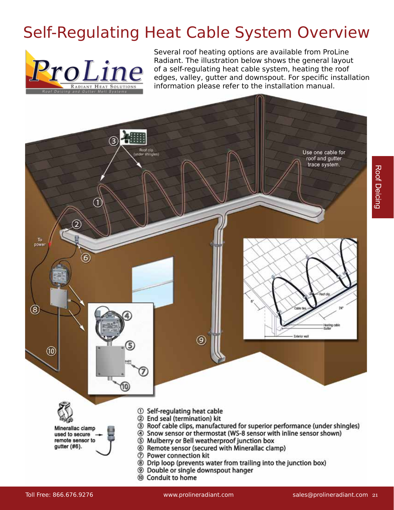## Self-Regulating Heat Cable System Overview



Several roof heating options are available from ProLine Radiant. The illustration below shows the general layout of a self-regulating heat cable system, heating the roof edges, valley, gutter and downspout. For specific installation information please refer to the installation manual.

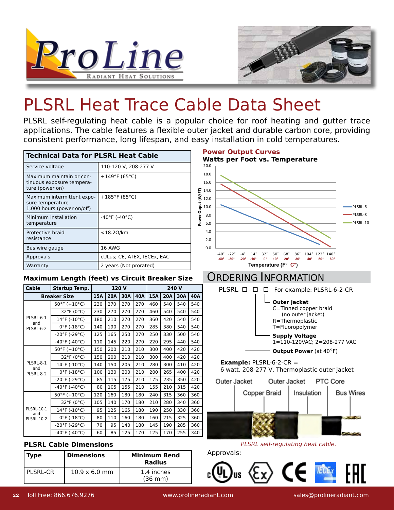



# PLSRL Heat Trace Cable Data Sheet

PLSRL self-regulating heat cable is a popular choice for roof heating and gutter trace applications. The cable features a flexible outer jacket and durable carbon core, providing consistent performance, long lifespan, and easy installation in cold temperatures.

| <b>Technical Data for PLSRL Heat Cable</b>                                   |                                    |
|------------------------------------------------------------------------------|------------------------------------|
| Service voltage                                                              | 110-120 V, 208-277 V               |
| Maximum maintain or con-<br>tinuous exposure tempera-<br>ture (power on)     | $+149^{\circ}$ F (65°C)            |
| Maximum intermittent expo-<br>sure temperature<br>1,000 hours (power on/off) | +185°F (85°C)                      |
| Minimum installation<br>temperature                                          | $-40^{\circ}$ F ( $-40^{\circ}$ C) |
| Protective braid<br>resistance                                               | $<$ 18.2 $\Omega$ /km              |
| Bus wire gauge                                                               | <b>16 AWG</b>                      |
| Approvals                                                                    | cULus; CE, ATEX, IECEx, EAC        |
| Warranty                                                                     | 2 years (Not prorated)             |

#### **Maximum Length (feet) vs Circuit Breaker Size**

| Cable                                         | Startup Temp.                      | 120 V |            |     | 240 V |     |            |     |     |
|-----------------------------------------------|------------------------------------|-------|------------|-----|-------|-----|------------|-----|-----|
| <b>Breaker Size</b>                           |                                    | 15A   | <b>20A</b> | 30A | 40A   | 15A | <b>20A</b> | 30A | 40A |
|                                               | $50^{\circ}$ F (+10°C)             | 230   | 270        | 270 | 270   | 460 | 540        | 540 | 540 |
|                                               | $32^{\circ}F(0^{\circ}C)$          | 230   | 270        | 270 | 270   | 460 | 540        | 540 | 540 |
| PLSRL-6-1<br>and                              | 14°F (-10°C)                       | 180   | 210        | 270 | 270   | 360 | 420        | 540 | 540 |
| PLSRL-6-2                                     | $0^{\circ}$ F (-18 $^{\circ}$ C)   | 140   | 190        | 270 | 270   | 285 | 380        | 540 | 540 |
|                                               | $-20^{\circ}$ F (-29 $^{\circ}$ C) | 125   | 165        | 250 | 270   | 250 | 330        | 500 | 540 |
|                                               | $-40^{\circ}$ F (-40 $^{\circ}$ C) | 110   | 145        | 220 | 270   | 220 | 295        | 440 | 540 |
|                                               | $50^{\circ}$ F (+10 $^{\circ}$ C)  | 150   | 200        | 210 | 210   | 300 | 400        | 420 | 420 |
|                                               | $32^{\circ}F(0^{\circ}C)$          | 150   | 200        | 210 | 210   | 300 | 400        | 420 | 420 |
| PLSRL-8-1                                     | 14°F (-10°C)                       | 140   | 150        | 205 | 210   | 280 | 300        | 410 | 420 |
| and<br>PLSRL-8-2                              | $0^{\circ}$ F (-18°C)              | 100   | 130        | 200 | 210   | 200 | 265        | 400 | 420 |
|                                               | $-20^{\circ}$ F (-29 $^{\circ}$ C) | 85    | 115        | 175 | 210   | 175 | 235        | 350 | 420 |
|                                               | $-40^{\circ}$ F ( $-40^{\circ}$ C) | 80    | 105        | 155 | 210   | 155 | 210        | 315 | 420 |
|                                               | $50^{\circ}$ F (+10°C)             | 120   | 160        | 180 | 180   | 240 | 315        | 360 | 360 |
|                                               | $32^{\circ}F(0^{\circ}C)$          | 105   | 140        | 170 | 180   | 210 | 280        | 340 | 360 |
| <b>PLSRL-10-1</b><br>and<br><b>PLSRL-10-2</b> | $14^{\circ}$ F (-10 $^{\circ}$ C)  | 95    | 125        | 165 | 180   | 190 | 250        | 330 | 360 |
|                                               | $0^{\circ}$ F (-18°C)              | 80    | 110        | 160 | 180   | 160 | 215        | 325 | 360 |
|                                               | $-20^{\circ}$ F (-29 $^{\circ}$ C) | 70    | 95         | 140 | 180   | 145 | 190        | 285 | 360 |
|                                               | $-40^{\circ}$ F (-40°C)            | 60    | 85         | 125 | 170   | 125 | 170        | 255 | 340 |

#### **PLSRL Cable Dimensions**

| Type     | <b>Dimensions</b>            | <b>Minimum Bend</b><br>Radius   |
|----------|------------------------------|---------------------------------|
| PLSRL-CR | $10.9 \times 6.0 \text{ mm}$ | 1.4 inches<br>$(36 \text{ mm})$ |

**Power Output Curves** 



### ORDERING INFORMATION



Copper Braid Insulation **Bus Wires** 





Toll Free: 866.676.9276 www.prolineradiant.com sales@prolineradiant.com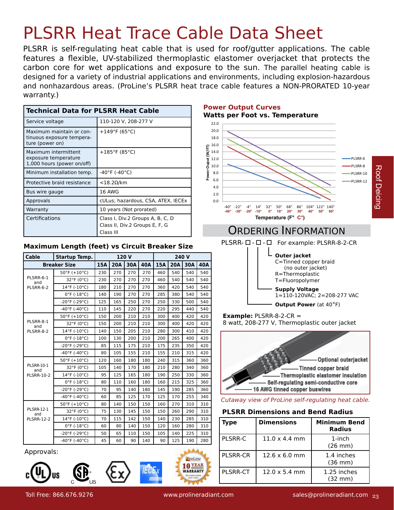# PLSRR Heat Trace Cable Data Sheet

PLSRR is self-regulating heat cable that is used for roof/gutter applications. The cable features a flexible, UV-stabilized thermoplastic elastomer overjacket that protects the carbon core for wet applications and exposure to the sun. The parallel heating cable is designed for a variety of industrial applications and environments, including explosion-hazardous and nonhazardous areas. (ProLine's PLSRR heat trace cable features a NON-PRORATED 10-year warranty.)

| <b>Technical Data for PLSRR Heat Cable</b>                                 |                                                                                 |
|----------------------------------------------------------------------------|---------------------------------------------------------------------------------|
| Service voltage                                                            | 110-120 V, 208-277 V                                                            |
| Maximum maintain or con-<br>tinuous exposure tempera-<br>ture (power on)   | +149°F (65°C)                                                                   |
| Maximum intermittent<br>exposure temperature<br>1,000 hours (power on/off) | +185°F (85°C)                                                                   |
| Minimum installation temp.                                                 | $-40^{\circ}$ F (-40 $^{\circ}$ C)                                              |
| Protective braid resistance                                                | $<$ 18.2 $\Omega$ /km                                                           |
| Bus wire gauge                                                             | 16 AWG                                                                          |
| Approvals                                                                  | cULus; hazardous, CSA, ATEX, IECEx                                              |
| Warranty                                                                   | 10 years (Not prorated)                                                         |
| Certifications                                                             | Class I, Div.2 Groups A, B, C, D<br>Class II, Div.2 Groups E, F, G<br>Class III |

#### **Maximum Length (feet) vs Circuit Breaker Size**

| Cable                                         | Startup Temp.                      | 120 V |            |     |     |     | 240 V      |     |     |
|-----------------------------------------------|------------------------------------|-------|------------|-----|-----|-----|------------|-----|-----|
| <b>Breaker Size</b>                           |                                    | 15A   | <b>20A</b> | 30A | 40A | 15A | <b>20A</b> | 30A | 40A |
|                                               | $50^{\circ}$ F (+10°C)             | 230   | 270        | 270 | 270 | 460 | 540        | 540 | 540 |
| PLSRR-6-1<br>and                              | 32°F (0°C)                         | 230   | 270        | 270 | 270 | 460 | 540        | 540 | 540 |
| PLSRR-6-2                                     | $14^{\circ}$ F (-10 $^{\circ}$ C)  | 180   | 210        | 270 | 270 | 360 | 420        | 540 | 540 |
|                                               | $0^{\circ}$ F (-18 $^{\circ}$ C)   | 140   | 190        | 270 | 270 | 285 | 380        | 540 | 540 |
|                                               | $-20^{\circ}$ F (-29 $^{\circ}$ C) | 125   | 165        | 250 | 270 | 250 | 330        | 500 | 540 |
|                                               | $-40^{\circ}$ F ( $-40^{\circ}$ C) | 110   | 145        | 220 | 270 | 220 | 295        | 440 | 540 |
|                                               | $50^{\circ}$ F (+10 $^{\circ}$ C)  | 150   | 200        | 210 | 210 | 300 | 400        | 420 | 420 |
| PLSRR-8-1<br>and                              | 32°F (0°C)                         | 150   | 200        | 210 | 210 | 300 | 400        | 420 | 420 |
| PLSRR-8-2                                     | $14^{\circ}$ F (-10 $^{\circ}$ C)  | 140   | 150        | 205 | 210 | 280 | 300        | 410 | 420 |
|                                               | $0^{\circ}$ F (-18 $^{\circ}$ C)   | 100   | 130        | 200 | 210 | 200 | 265        | 400 | 420 |
|                                               | $-20^{\circ}$ F ( $-29^{\circ}$ C) | 85    | 115        | 175 | 210 | 175 | 235        | 350 | 420 |
|                                               | $-40^{\circ}$ F ( $-40^{\circ}$ C) | 80    | 105        | 155 | 210 | 155 | 210        | 315 | 420 |
|                                               | $50^{\circ}$ F (+10 $^{\circ}$ C)  | 120   | 160        | 180 | 180 | 240 | 315        | 360 | 360 |
| <b>PLSRR-10-1</b><br>and                      | 32°F (0°C)                         | 105   | 140        | 170 | 180 | 210 | 280        | 340 | 360 |
| <b>PLSRR-10-2</b>                             | 14°F (-10°C)                       | 95    | 125        | 165 | 180 | 190 | 250        | 330 | 360 |
|                                               | $0^{\circ}$ F (-18 $^{\circ}$ C)   | 80    | 110        | 160 | 180 | 160 | 215        | 325 | 360 |
|                                               | $-20^{\circ}$ F ( $-29^{\circ}$ C) | 70    | 95         | 140 | 180 | 145 | 190        | 285 | 360 |
|                                               | $-40^{\circ}$ F ( $-40^{\circ}$ C) | 60    | 85         | 125 | 170 | 125 | 170        | 255 | 340 |
| <b>PLSRR-12-1</b><br>and<br><b>PLSRR-12-2</b> | $50^{\circ}$ F (+10 $^{\circ}$ C)  | 80    | 140        | 150 | 150 | 160 | 270        | 310 | 310 |
|                                               | 32°F (0°C)                         | 75    | 130        | 145 | 150 | 150 | 260        | 290 | 310 |
|                                               | 14°F (-10°C)                       | 70    | 115        | 142 | 150 | 140 | 230        | 285 | 310 |
|                                               | $0^{\circ}$ F (-18°C)              | 60    | 80         | 140 | 150 | 120 | 160        | 280 | 310 |
|                                               | $-20^{\circ}$ F ( $-29^{\circ}$ C) | 50    | 65         | 110 | 150 | 105 | 140        | 225 | 310 |
|                                               | $-40^{\circ}$ F ( $-40^{\circ}$ C) | 45    | 60         | 90  | 140 | 90  | 125        | 190 | 280 |

Approvals:







8.0 10.0 12.0 14.0 16.0 18.0 20.0 22.0

**Power Ouput (W/FT)**

Power

**Power Output Curves** 

**Watts per Foot vs. Temperature Watts per Foot vs Temperature**

PLSRR-6 PLSRR-8 **Roof Deicing** Roof DeicingPLSRR-10 PLSRR-12

### ORDERING INFORMATION

**Temperature (°F) Temperature (F° C°)**

**-40° -30° -20° -10° 0° 10° 20° 30° 40° 50° 60°**



 **Example:** PLSRR-8-2-CR = 8 watt, 208-277 V, Thermoplastic outer jacket



#### Cutaway view of ProLine self-regulating heat cable.

#### **PLSRR Dimensions and Bend Radius**

| Type            | <b>Dimensions</b>    | <b>Minimum Bend</b><br><b>Radius</b> |
|-----------------|----------------------|--------------------------------------|
| <b>PLSRR-C</b>  | $11.0 \times 4.4$ mm | $1$ -inch<br>$(26$ mm $)$            |
| <b>PLSRR-CR</b> | $12.6 \times 6.0$ mm | 1.4 inches<br>$(36 \text{ mm})$      |
| <b>PLSRR-CT</b> | $12.0 \times 5.4$ mm | 1.25 inches<br>$(32 \text{ mm})$     |

**O**YEAR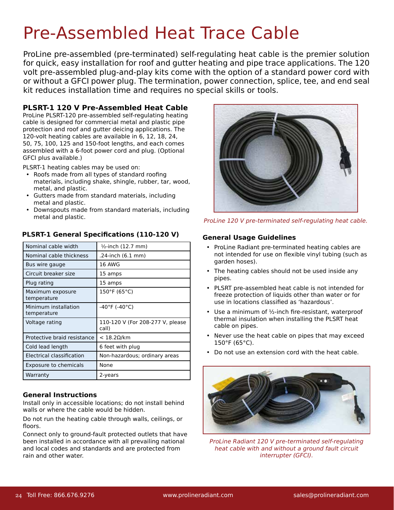# Pre-Assembled Heat Trace Cable

ProLine pre-assembled (pre-terminated) self-regulating heat cable is the premier solution for quick, easy installation for roof and gutter heating and pipe trace applications. The 120 volt pre-assembled plug-and-play kits come with the option of a standard power cord with or without a GFCI power plug. The termination, power connection, splice, tee, and end seal kit reduces installation time and requires no special skills or tools.

#### **PLSRT-1 120 V Pre-Assembled Heat Cable**

ProLine PLSRT-120 pre-assembled self-regulating heating cable is designed for commercial metal and plastic pipe protection and roof and gutter deicing applications. The 120-volt heating cables are available in 6, 12, 18, 24, 50, 75, 100, 125 and 150-foot lengths, and each comes assembled with a 6-foot power cord and plug. (Optional GFCI plus available.)

PLSRT-1 heating cables may be used on:

- Roofs made from all types of standard roofing materials, including shake, shingle, rubber, tar, wood, metal, and plastic.
- Gutters made from standard materials, including metal and plastic.
- Downspouts made from standard materials, including metal and plastic.

| Nominal cable width                 | $\frac{1}{2}$ -inch (12.7 mm)             |
|-------------------------------------|-------------------------------------------|
| Nominal cable thickness             | .24-inch (6.1 mm)                         |
| Bus wire gauge                      | 16 AWG                                    |
| Circuit breaker size                | 15 amps                                   |
| Plug rating                         | 15 amps                                   |
| Maximum exposure<br>temperature     | $150^{\circ}$ F (65°C)                    |
| Minimum installation<br>temperature | $-40^{\circ}$ F (-40 $^{\circ}$ C)        |
| Voltage rating                      | 110-120 V (For 208-277 V, please<br>call) |
| Protective braid resistance         | $<$ 18.20/km                              |
| Cold lead length                    | 6 feet with plug                          |
| Electrical classification           | Non-hazardous; ordinary areas             |
| <b>Exposure to chemicals</b>        | None                                      |
| Warranty                            | 2-years                                   |

#### **PLSRT-1 General Specifications (110-120 V)**

#### **General Instructions**

Install only in accessible locations; do not install behind walls or where the cable would be hidden.

Do not run the heating cable through walls, ceilings, or floors.

Connect only to ground-fault protected outlets that have been installed in accordance with all prevailing national and local codes and standards and are protected from rain and other water.



ProLine 120 V pre-terminated self-regulating heat cable.

#### **General Usage Guidelines**

- ProLine Radiant pre-terminated heating cables are not intended for use on flexible vinyl tubing (such as garden hoses).
- The heating cables should not be used inside any pipes.
- PLSRT pre-assembled heat cable is not intended for freeze protection of liquids other than water or for use in locations classified as 'hazardous'.
- Use a minimum of ½-inch fire-resistant, waterproof thermal insulation when installing the PLSRT heat cable on pipes.
- Never use the heat cable on pipes that may exceed 150°F (65°C).
- Do not use an extension cord with the heat cable.



*ProLine Radiant 120 V pre-terminated self-regulating*  heat cable with and without a ground fault circuit interrupter (GFCI).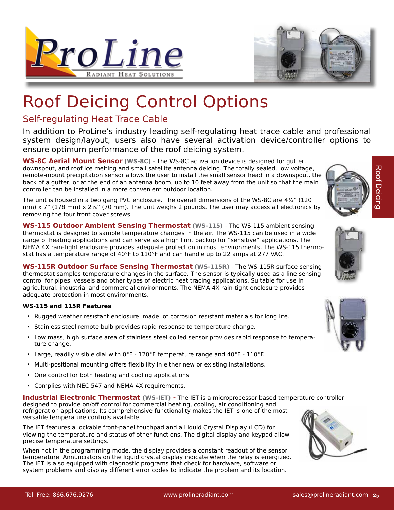



## Roof Deicing Control Options

### Self-regulating Heat Trace Cable

In addition to ProLine's industry leading self-regulating heat trace cable and professional system design/layout, users also have several activation device/controller options to ensure optimum performance of the roof deicing system.

**WS-8C Aerial Mount Sensor (WS-8C)** - The WS-8C activation device is designed for gutter, downspout, and roof ice melting and small satellite antenna deicing. The totally sealed, low voltage, remote-mount precipitation sensor allows the user to install the small sensor head in a downspout, the back of a gutter, or at the end of an antenna boom, up to 10 feet away from the unit so that the main controller can be installed in a more convenient outdoor location.

The unit is housed in a two gang PVC enclosure. The overall dimensions of the WS-8C are 4¾" (120 mm) x 7" (178 mm) x  $2\frac{3}{4}$ " (70 mm). The unit weighs 2 pounds. The user may access all electronics by removing the four front cover screws.

**WS-115 Outdoor Ambient Sensing Thermostat (WS-115)** - The WS-115 ambient sensing thermostat is designed to sample temperature changes in the air. The WS-115 can be used in a wide range of heating applications and can serve as a high limit backup for "sensitive" applications. The NEMA 4X rain-tight enclosure provides adequate protection in most environments. The WS-115 thermostat has a temperature range of 40°F to 110°F and can handle up to 22 amps at 277 VAC.

**WS-115R Outdoor Surface Sensing Thermostat (WS-115R)** - The WS-115R surface sensing thermostat samples temperature changes in the surface. The sensor is typically used as a line sensing control for pipes, vessels and other types of electric heat tracing applications. Suitable for use in agricultural, industrial and commercial environments. The NEMA 4X rain-tight enclosure provides adequate protection in most environments.

#### **WS-115 and 115R Features**

- Rugged weather resistant enclosure made of corrosion resistant materials for long life.
- Stainless steel remote bulb provides rapid response to temperature change.
- Low mass, high surface area of stainless steel coiled sensor provides rapid response to temperature change.
- Large, readily visible dial with 0°F 120°F temperature range and 40°F 110°F.
- Multi-positional mounting offers flexibility in either new or existing installations.
- One control for both heating and cooling applications.
- Complies with NEC 547 and NEMA 4X requirements.

**Industrial Electronic Thermostat (WS-IET) -** The IET is a microprocessor-based temperature controller designed to provide on/off control for commercial heating, cooling, air conditioning and refrigeration applications. Its comprehensive functionality makes the IET is one of the most versatile temperature controls available.

The IET features a lockable front-panel touchpad and a Liquid Crystal Display (LCD) for viewing the temperature and status of other functions. The digital display and keypad allow precise temperature settings.

When not in the programming mode, the display provides a constant readout of the sensor temperature. Annunciators on the liquid crystal display indicate when the relay is energized. The IET is also equipped with diagnostic programs that check for hardware, software or system problems and display different error codes to indicate the problem and its location.